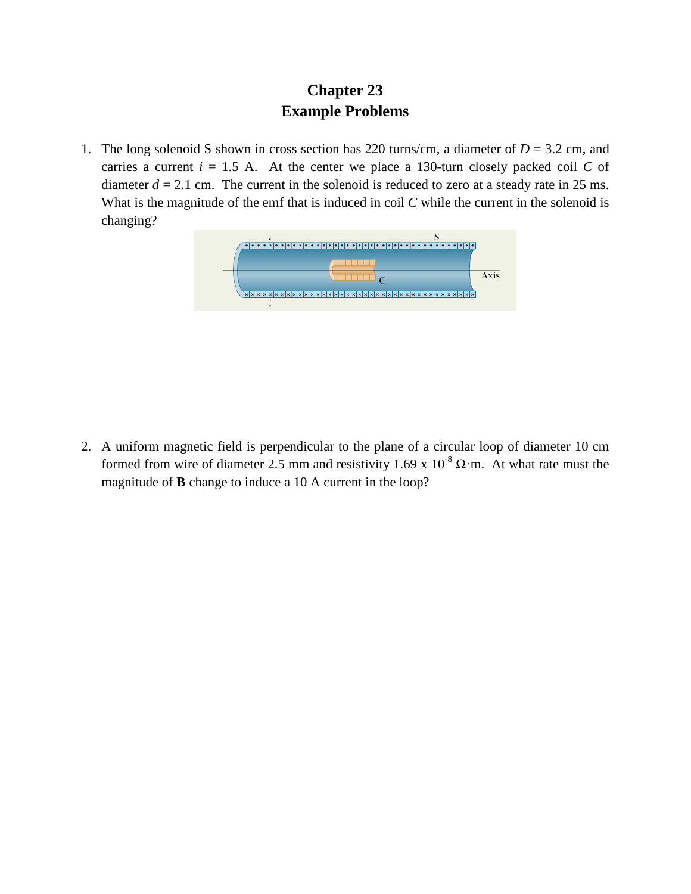## **Chapter 23 Example Problems**

1. The long solenoid S shown in cross section has 220 turns/cm, a diameter of  $D = 3.2$  cm, and carries a current  $i = 1.5$  A. At the center we place a 130-turn closely packed coil *C* of diameter  $d = 2.1$  cm. The current in the solenoid is reduced to zero at a steady rate in 25 ms. What is the magnitude of the emf that is induced in coil *C* while the current in the solenoid is changing?



2. A uniform magnetic field is perpendicular to the plane of a circular loop of diameter 10 cm formed from wire of diameter 2.5 mm and resistivity 1.69 x  $10^{-8} \Omega$ ·m. At what rate must the magnitude of **B** change to induce a 10 A current in the loop?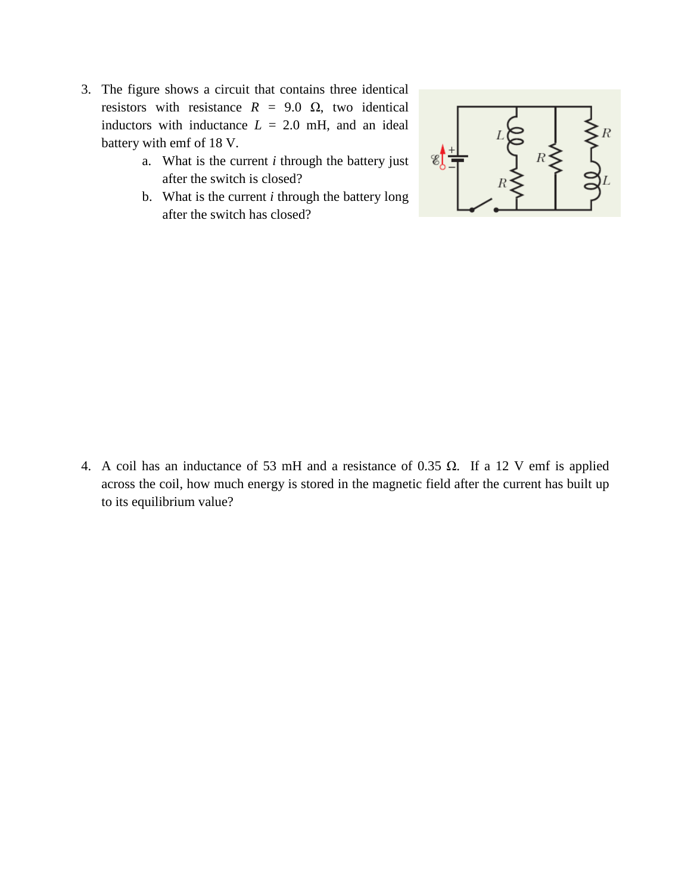- 3. The figure shows a circuit that contains three identical resistors with resistance  $R = 9.0 \Omega$ , two identical inductors with inductance  $L = 2.0$  mH, and an ideal battery with emf of 18 V.
	- a. What is the current *i* through the battery just after the switch is closed?
	- b. What is the current *i* through the battery long after the switch has closed?



4. A coil has an inductance of 53 mH and a resistance of 0.35 Ω. If a 12 V emf is applied across the coil, how much energy is stored in the magnetic field after the current has built up to its equilibrium value?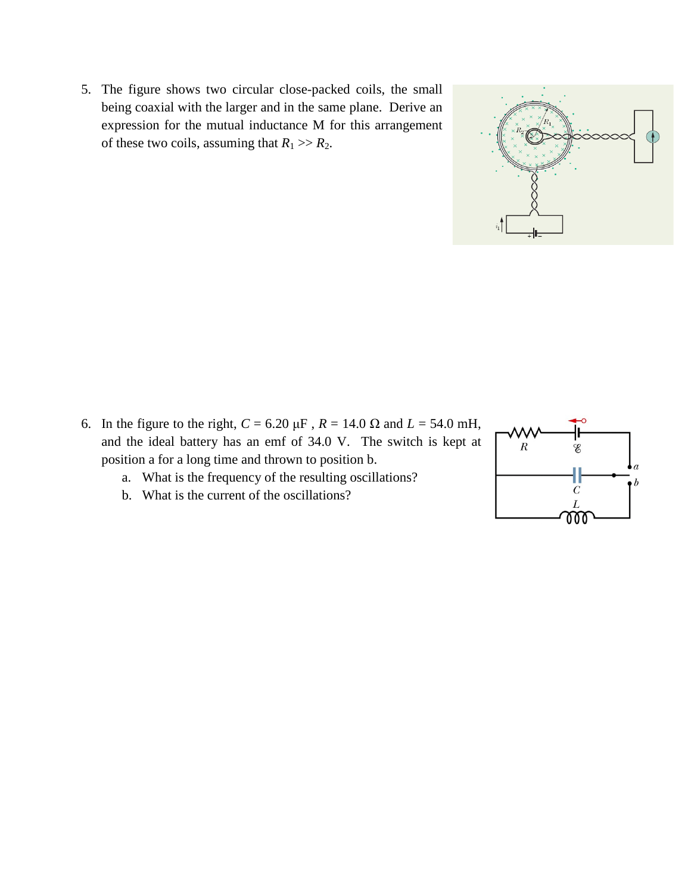5. The figure shows two circular close-packed coils, the small being coaxial with the larger and in the same plane. Derive an expression for the mutual inductance M for this arrangement of these two coils, assuming that  $R_1 \gg R_2$ .



- a. What is the frequency of the resulting oscillations?
- b. What is the current of the oscillations?



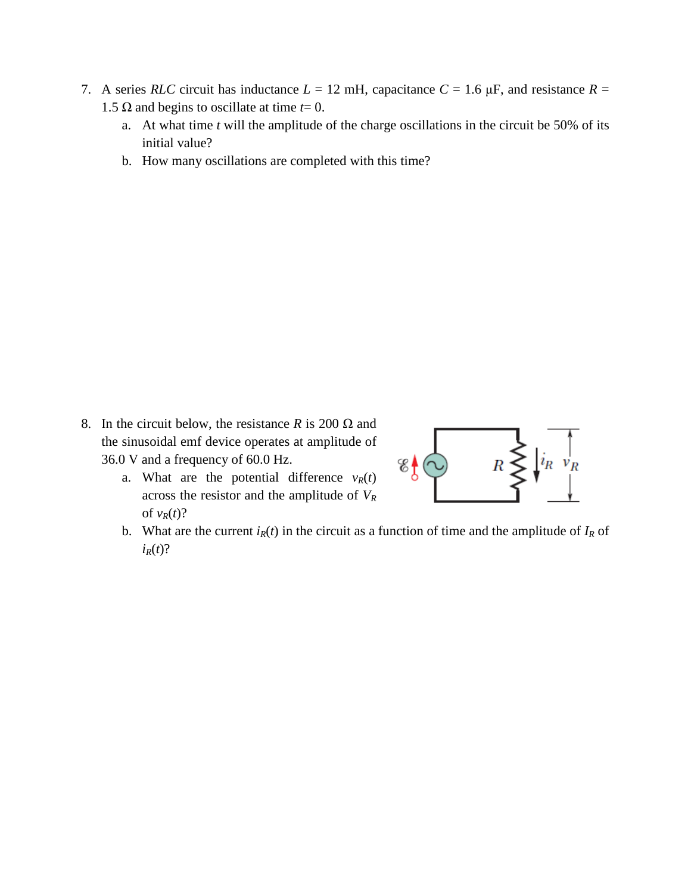- 7. A series *RLC* circuit has inductance  $L = 12$  mH, capacitance  $C = 1.6 \mu$ F, and resistance  $R =$ 1.5 Ω and begins to oscillate at time *.* 
	- a. At what time *t* will the amplitude of the charge oscillations in the circuit be 50% of its initial value?
	- b. How many oscillations are completed with this time?

- 8. In the circuit below, the resistance *R* is 200  $\Omega$  and the sinusoidal emf device operates at amplitude of 36.0 V and a frequency of 60.0 Hz.
	- a. What are the potential difference  $v_R(t)$ across the resistor and the amplitude of *VR* of  $v_R(t)$ ?



b. What are the current  $i_R(t)$  in the circuit as a function of time and the amplitude of  $I_R$  of  $i_R(t)$ ?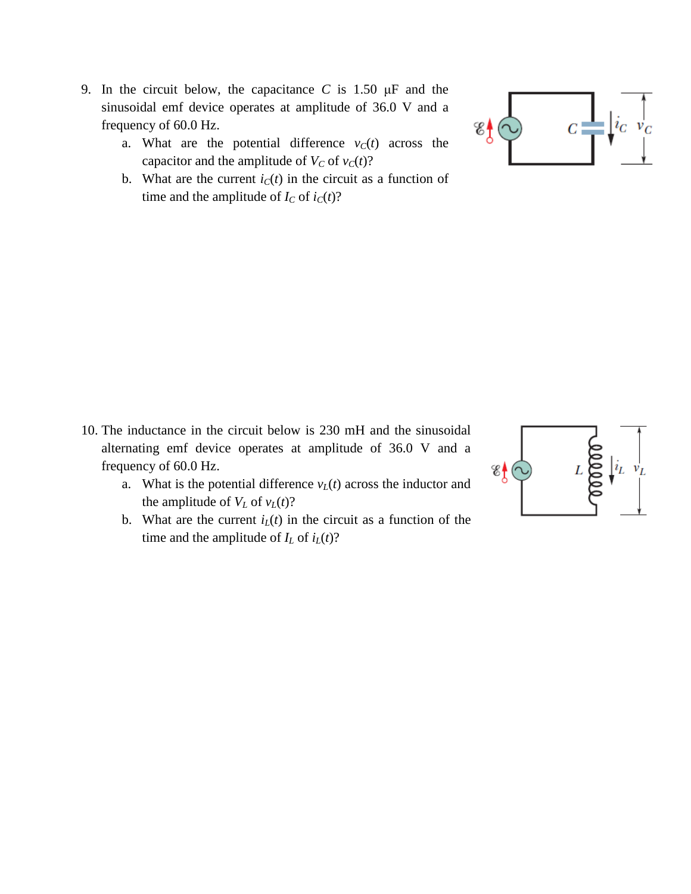- 9. In the circuit below, the capacitance *C* is 1.50 μF and the sinusoidal emf device operates at amplitude of 36.0 V and a frequency of 60.0 Hz.
	- a. What are the potential difference  $v_c(t)$  across the capacitor and the amplitude of  $V_C$  of  $v_C(t)$ ?
	- b. What are the current  $i<sub>C</sub>(t)$  in the circuit as a function of time and the amplitude of  $I_C$  of  $i_C(t)$ ?



- a. What is the potential difference  $v_L(t)$  across the inductor and the amplitude of  $V_L$  of  $v_L(t)$ ?
- b. What are the current  $i<sub>L</sub>(t)$  in the circuit as a function of the time and the amplitude of  $I_L$  of  $i_L(t)$ ?